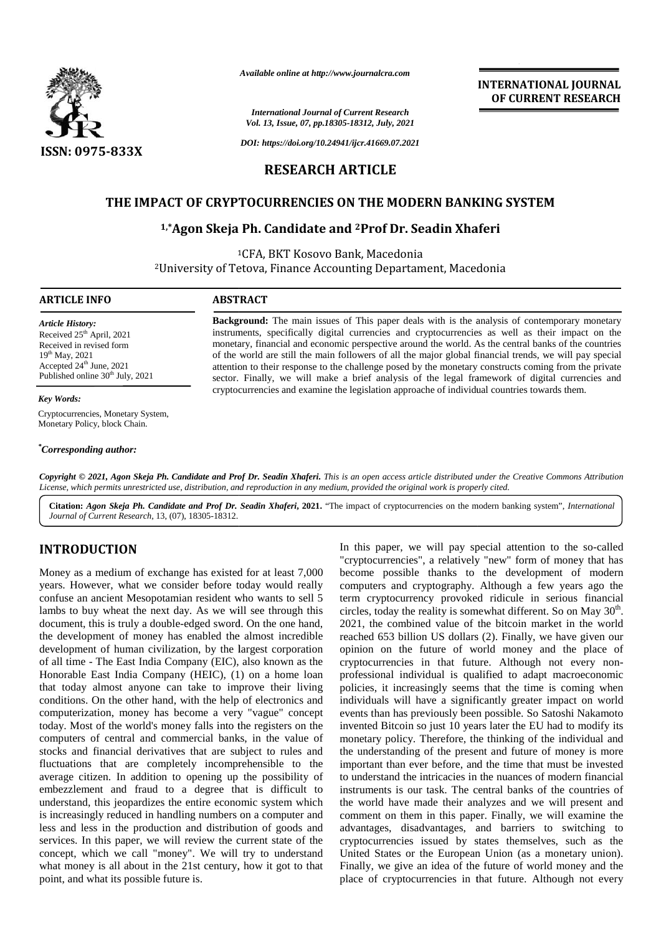

*Available online at http://www.journalcra.com*

*International Journal of Current Research Vol. 13, Issue, 07, pp.18305-18312, July, 2021*

*DOI: https://doi.org/10.24941/ijcr.41669.07.2021*

# **RESEARCH ARTICLE**

# **THE IMPACT OF CRYPTOCURRENCIES ON THE MODERN BANKING SYSTEM ON THE**

## **1,\*Agon Skeja Ph. Candidate and <sup>2</sup>Prof Dr. Seadin Xhaferi**

<sup>1</sup>CFA, BKT Kosovo Bank, Macedonia

<sup>2</sup>University of Tetova, Finance Accounting Departament, Macedonia University of

#### **ARTICLE INFO ABSTRACT ARTICLE ABSTRACT**

*Article History:* Received 25<sup>th</sup> April, 2021 Received 25<sup>-</sup> April, 2021<br>Received in revised form 19<sup>th</sup> May, 2021 Accepted  $24^{\text{th}}$  June,  $2021$ Published online 30<sup>th</sup> July, 2021

#### *Key Words:*

Cryptocurrencies, Monetary System, Monetary Policy, block Chain.

*\*Corresponding author:*

**Background:** The main issues of This paper deals with is the analysis of contemporary monetary instruments, specifically digital currencies and cryptocurrencies as well as their impact on the monetary, financial and economic perspective around the world. As the central banks of the countries of the world are still the main followers of all the major global financial trends, we will pay special attention to their response to the challenge posed by the monetary constructs coming from the private sector. Finally, we will make a brief analysis of the legal framework of digital currencies and cryptocurrencies and examine the legislation approache of individual countries towards them. **Background:** The main issues of This paper deals with is the analysis of contempo instruments, specifically digital currencies and cryptocurrencies as well as their in monetary, financial and economic perspective around t *Skellinger Martin 1000 and 1000 and 1000 and 1000 and 1000 and 1000 and 1000 and 1000 and 1000 and 1000 and 1000 and 1000 and 1000 and 1000 and 1000 and 1000 and 1000 and 1000 and 1000 and 1000 and 1000 and 1000 and 1000* 

**INTERNATIONAL JOURNAL**

**OF CURRENT RESEARCH RESEARCH**

**Copyright © 2021, Agon Skeja Ph. Candidate and Prof Dr. Seadin Xhaferi.** This is an open access article distributed under the Creative Commons Attribution<br>License, which permits unrestricted use, distribution, and reprodu License, which permits unrestricted use, distribution, and reproduction in any medium, provided the original work is properly cited.

**Citation:** *Agon Skeja Ph. Candidate and Prof Dr. Seadin Xhaferi***, 2021.** "The impact of cryptocurrencies on the modern banking system", *International Journal of Current Research*, 13, (07), 18305-18312.

# **INTRODUCTION INTRODUCTION**

Money as a medium of exchange has existed for at least 7,000 Money as a medium of exchange has existed for at least 7,000 becomends. However, what we consider before today would really comp confuse an ancient Mesopotamian resident who wants to sell 5 term lambs to buy wheat the next day. As we will see through this document, this is truly a double-edged sword. On the one hand, the development of money has enabled the almost incredible development of human civilization, by the largest corporation of all time - The East India Company (EIC), also known as the of all time - The East India Company (EIC), also known as the crypt<br>Honorable East India Company (HEIC), (1) on a home loan profe that today almost anyone can take to improve their living polic conditions. On the other hand, with the help of electronics and individual computerization, money has become a very "vague" concept today. Most of the world's money falls into the registers on the computers of central and commercial banks, in the value of stocks and financial derivatives that are subject to rules and fluctuations that are completely incomprehensible to the import average citizen. In addition to opening up the possibility of embezzlement and fraud to a degree that is difficult to understand, this jeopardizes the entire economic system which is increasingly reduced in handling numbers on a computer and comn less and less in the production and distribution of goods and advar services. In this paper, we will review the current state of the concept, which we call "money". We will try to understand what money is all about in the 21st century, how it got to that point, and what its possible future is. lambs to buy wheat the next day. As we will see through this circle document, this is truly a double-edged sword. On the one hand, 2021.<br>the development of money has enabled the almost incredible reach development of human computerization, money has become a very "vague" concept event today. Most of the world's money falls into the registers on the inven computers of central and commercial banks, in the value of mone stocks and financial der

In this paper, we will pay special attention to the so-called "cryptocurrencies", a relatively "new" form of money that has become possible thanks to the development of modern computers and cryptography. Although a few years ago the term cryptocurrency provoked ridicule in serious financial circles, today the reality is somewhat different. So on May  $30<sup>th</sup>$ . 2021, the combined value of the bitcoin market in the world reached 653 billion US dollars (2). Finally, we have given our opinion on the future of world money and the place of cryptocurrencies in that future. Although not every non professional individual is qualified to adapt macroeconomic policies, it increasingly seems that the time is coming when individuals will have a significantly greater impact on world events than has previously been possible. So Satoshi Nakamoto invented Bitcoin so just 10 years later the EU had to modify its monetary policy. Therefore, the thinking of the individual and the understanding of the present and future of money is more important than ever before, and the time that must be invested to understand the intricacies in the nuances of modern financial instruments is our task. The central banks of the countries of the world have made their analyzes and we will present and comment on them in this paper. Finally, we will examine the advantages, disadvantages, and barriers to switching to cryptocurrencies issued by states themselves, such as the United States or the European Union (as a monetary union). Finally, we give an idea of the future of world money and the place of cryptocurrencies in that future. Although not every **ESSA: 0075-833X**<br>
ISSN: 0075-833X<br>
ISSN: 0075-833X<br>
ISSN: 0075-833X<br>
ISSN: 0075-833X<br>
ISSN: 0075-833X<br>
ISSN: OF CONTPOCURRENCIES ON THE MODERN BANKING SYSTEM<br>
<sup>12</sup>Algon Sixeja Ph. Candidate and <sup>2</sup>Ptro Dr. Seadan Xhatler **INTERNATIONAL**<br> **I** of Current Research<br> **I** of Current Research<br> **I** of Current Research<br> **II** OF CURRENT **I**<br> **III** ARTICLE<br> **SON THE MODERN BANKING SYSTEM**<br> **III** ARTICLE<br> **III** ARTICLE<br> **III** ARTICUSE SOM THE MODERN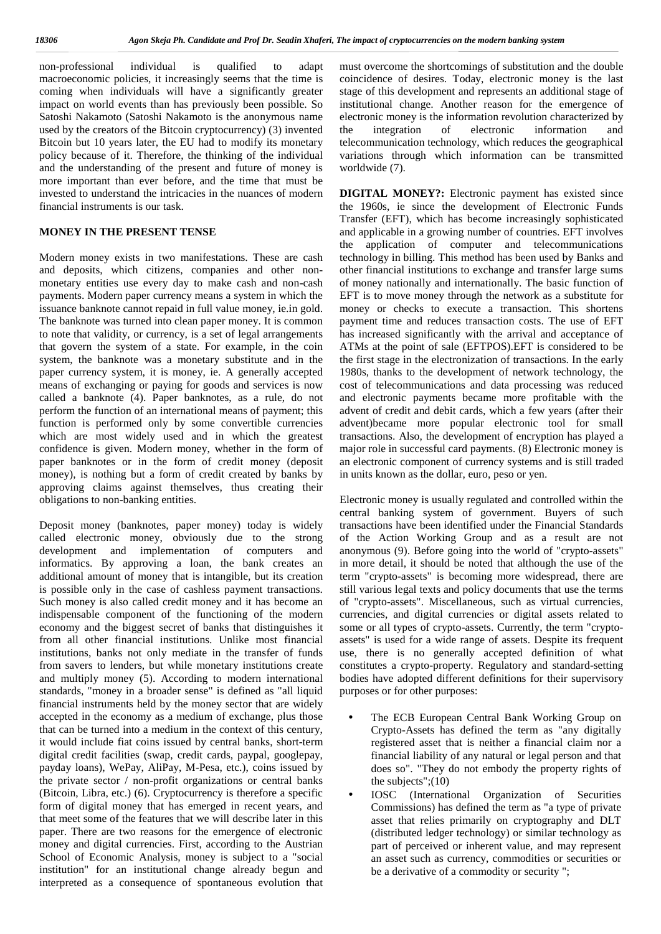non-professional individual is qualified to adapt **n** macroeconomic policies, it increasingly seems that the time is coming when individuals will have a significantly greater impact on world events than has previously been possible. So Satoshi Nakamoto (Satoshi Nakamoto is the anonymous name used by the creators of the Bitcoin cryptocurrency) (3) invented Bitcoin but 10 years later, the EU had to modify its monetary policy because of it. Therefore, the thinking of the individual and the understanding of the present and future of money is more important than ever before, and the time that must be invested to understand the intricacies in the nuances of modern financial instruments is our task.

#### **MONEY IN THE PRESENT TENSE**

Modern money exists in two manifestations. These are cash and deposits, which citizens, companies and other non monetary entities use every day to make cash and non-cash payments. Modern paper currency means a system in which the issuance banknote cannot repaid in full value money, ie.in gold. The banknote was turned into clean paper money. It is common to note that validity, or currency, is a set of legal arrangements that govern the system of a state. For example, in the coin system, the banknote was a monetary substitute and in the paper currency system, it is money, ie. A generally accepted means of exchanging or paying for goods and services is now called a banknote (4). Paper banknotes, as a rule, do not perform the function of an international means of payment; this function is performed only by some convertible currencies which are most widely used and in which the greatest confidence is given. Modern money, whether in the form of paper banknotes or in the form of credit money (deposit money), is nothing but a form of credit created by banks by approving claims against themselves, thus creating their obligations to non-banking entities.

Deposit money (banknotes, paper money) today is widely called electronic money, obviously due to the strong development and implementation of computers and informatics. By approving a loan, the bank creates an additional amount of money that is intangible, but its creation is possible only in the case of cashless payment transactions. Such money is also called credit money and it has become an indispensable component of the functioning of the modern economy and the biggest secret of banks that distinguishes it from all other financial institutions. Unlike most financial institutions, banks not only mediate in the transfer of funds from savers to lenders, but while monetary institutions create and multiply money (5). According to modern international standards, "money in a broader sense" is defined as "all liquid financial instruments held by the money sector that are widely accepted in the economy as a medium of exchange, plus those that can be turned into a medium in the context of this century, it would include fiat coins issued by central banks, short-term digital credit facilities (swap, credit cards, paypal, googlepay, payday loans), WePay, AliPay, M-Pesa, etc.), coins issued by the private sector / non-profit organizations or central banks (Bitcoin, Libra, etc.) (6). Cryptocurrency is therefore a specific form of digital money that has emerged in recent years, and that meet some of the features that we will describe later in this paper. There are two reasons for the emergence of electronic money and digital currencies. First, according to the Austrian School of Economic Analysis, money is subject to a "social institution" for an institutional change already begun and interpreted as a consequence of spontaneous evolution that

must overcome the shortcomings of substitution and the double coincidence of desires. Today, electronic money is the last stage of this development and represents an additional stage of institutional change. Another reason for the emergence of electronic money is the information revolution characterized by integration of electronic information and telecommunication technology, which reduces the geographical variations through which information can be transmitted worldwide (7).

**DIGITAL MONEY?:** Electronic payment has existed since the 1960s, ie since the development of Electronic Funds Transfer (EFT), which has become increasingly sophisticated and applicable in a growing number of countries. EFT involves the application of computer and telecommunications technology in billing. This method has been used by Banks and other financial institutions to exchange and transfer large sums of money nationally and internationally. The basic function of EFT is to move money through the network as a substitute for money or checks to execute a transaction. This shortens payment time and reduces transaction costs. The use of EFT has increased significantly with the arrival and acceptance of ATMs at the point of sale (EFTPOS).EFT is considered to be the first stage in the electronization of transactions. In the early 1980s, thanks to the development of network technology, the cost of telecommunications and data processing was reduced and electronic payments became more profitable with the advent of credit and debit cards, which a few years (after their advent)became more popular electronic tool for small transactions. Also, the development of encryption has played a major role in successful card payments. (8) Electronic money is an electronic component of currency systems and is still traded in units known as the dollar, euro, peso or yen.

Electronic money is usually regulated and controlled within the central banking system of government. Buyers of such transactions have been identified under the Financial Standards of the Action Working Group and as a result are not anonymous (9). Before going into the world of "crypto-assets" in more detail, it should be noted that although the use of the term "crypto-assets" is becoming more widespread, there are still various legal texts and policy documents that use the terms of "crypto-assets". Miscellaneous, such as virtual currencies, currencies, and digital currencies or digital assets related to some or all types of crypto-assets. Currently, the term "crypto assets" is used for a wide range of assets. Despite its frequent use, there is no generally accepted definition of what constitutes a crypto-property. Regulatory and standard-setting bodies have adopted different definitions for their supervisory purposes or for other purposes:

- The ECB European Central Bank Working Group on Crypto-Assets has defined the term as "any digitally registered asset that is neither a financial claim nor a financial liability of any natural or legal person and that does so". "They do not embody the property rights of the subjects";(10)
- IOSC (International Organization of Securities Commissions) has defined the term as "a type of private asset that relies primarily on cryptography and DLT (distributed ledger technology) or similar technology as part of perceived or inherent value, and may represent an asset such as currency, commodities or securities or be a derivative of a commodity or security ";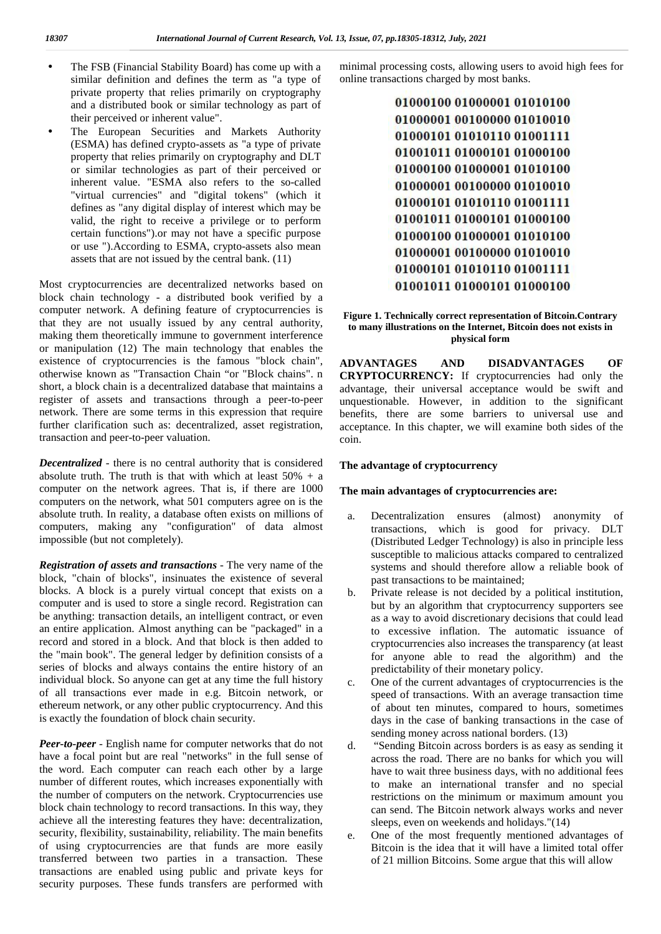- *J* The FSB (Financial Stability Board) has come up with a min similar definition and defines the term as "a type of private property that relies primarily on cryptography and a distributed book or similar technology as part of their perceived or inherent value".
- The European Securities and Markets Authority (ESMA) has defined crypto-assets as "a type of private property that relies primarily on cryptography and DLT or similar technologies as part of their perceived or inherent value. "ESMA also refers to the so-called "virtual currencies" and "digital tokens" (which it defines as "any digital display of interest which may be valid, the right to receive a privilege or to perform certain functions").or may not have a specific purpose or use ").According to ESMA, crypto-assets also mean assets that are not issued by the central bank. (11)

Most cryptocurrencies are decentralized networks based on block chain technology - a distributed book verified by a computer network. A defining feature of cryptocurrencies is that they are not usually issued by any central authority, making them theoretically immune to government interference or manipulation (12) The main technology that enables the existence of cryptocurrencies is the famous "block chain", ADVANTAGES otherwise known as "Transaction Chain "or "Block chains". n short, a block chain is a decentralized database that maintains a register of assets and transactions through a peer-to-peer network. There are some terms in this expression that require further clarification such as: decentralized, asset registration, transaction and peer-to-peer valuation.

*Decentralized* - there is no central authority that is considered absolute truth. The truth is that with which at least  $50\% + a$ computer on the network agrees. That is, if there are 1000 computers on the network, what 501 computers agree on is the absolute truth. In reality, a database often exists on millions of computers, making any "configuration" of data almost impossible (but not completely).

*Registration of assets and transactions* - The very name of the block, "chain of blocks", insinuates the existence of several blocks. A block is a purely virtual concept that exists on a b. computer and is used to store a single record. Registration can be anything: transaction details, an intelligent contract, or even an entire application. Almost anything can be "packaged" in a record and stored in a block. And that block is then added to the "main book". The general ledger by definition consists of a series of blocks and always contains the entire history of an individual block. So anyone can get at any time the full history  $\epsilon$ . of all transactions ever made in e.g. Bitcoin network, or ethereum network, or any other public cryptocurrency. And this is exactly the foundation of block chain security.

*Peer-to-peer* - English name for computer networks that do not have a focal point but are real "networks" in the full sense of the word. Each computer can reach each other by a large number of different routes, which increases exponentially with the number of computers on the network. Cryptocurrencies use block chain technology to record transactions. In this way, they achieve all the interesting features they have: decentralization, security, flexibility, sustainability, reliability. The main benefits e. of using cryptocurrencies are that funds are more easily transferred between two parties in a transaction. These transactions are enabled using public and private keys for security purposes. These funds transfers are performed with

minimal processing costs, allowing users to avoid high fees for online transactions charged by most banks.

| 01000100 01000001 01010100 |
|----------------------------|
| 01000001 00100000 01010010 |
| 01000101 01010110 01001111 |
| 01001011 01000101 01000100 |
| 01000100 01000001 01010100 |
| 01000001 00100000 01010010 |
| 01000101 01010110 01001111 |
| 01001011 01000101 01000100 |
| 01000100 01000001 01010100 |
| 01000001 00100000 01010010 |
| 01000101 01010110 01001111 |
| 01001011 01000101 01000100 |

#### **Figure 1. Technically correct representation of Bitcoin.Contrary to many illustrations on the Internet, Bitcoin does not exists in physical form**

**ADVANTAGES AND DISADVANTAGES OF CRYPTOCURRENCY:** If cryptocurrencies had only the advantage, their universal acceptance would be swift and unquestionable. However, in addition to the significant benefits, there are some barriers to universal use and acceptance. In this chapter, we will examine both sides of the coin.

### **The advantage of cryptocurrency**

#### **The main advantages of cryptocurrencies are:**

- Decentralization ensures (almost) anonymity of transactions, which is good for privacy. DLT (Distributed Ledger Technology) is also in principle less susceptible to malicious attacks compared to centralized systems and should therefore allow a reliable book of past transactions to be maintained;
- Private release is not decided by a political institution, but by an algorithm that cryptocurrency supporters see as a way to avoid discretionary decisions that could lead to excessive inflation. The automatic issuance of cryptocurrencies also increases the transparency (at least for anyone able to read the algorithm) and the predictability of their monetary policy.
- One of the current advantages of cryptocurrencies is the speed of transactions. With an average transaction time of about ten minutes, compared to hours, sometimes days in the case of banking transactions in the case of sending money across national borders. (13)
- d. "Sending Bitcoin across borders is as easy as sending it across the road. There are no banks for which you will have to wait three business days, with no additional fees to make an international transfer and no special restrictions on the minimum or maximum amount you can send. The Bitcoin network always works and never sleeps, even on weekends and holidays."(14)
- One of the most frequently mentioned advantages of Bitcoin is the idea that it will have a limited total offer of 21 million Bitcoins. Some argue that this will allow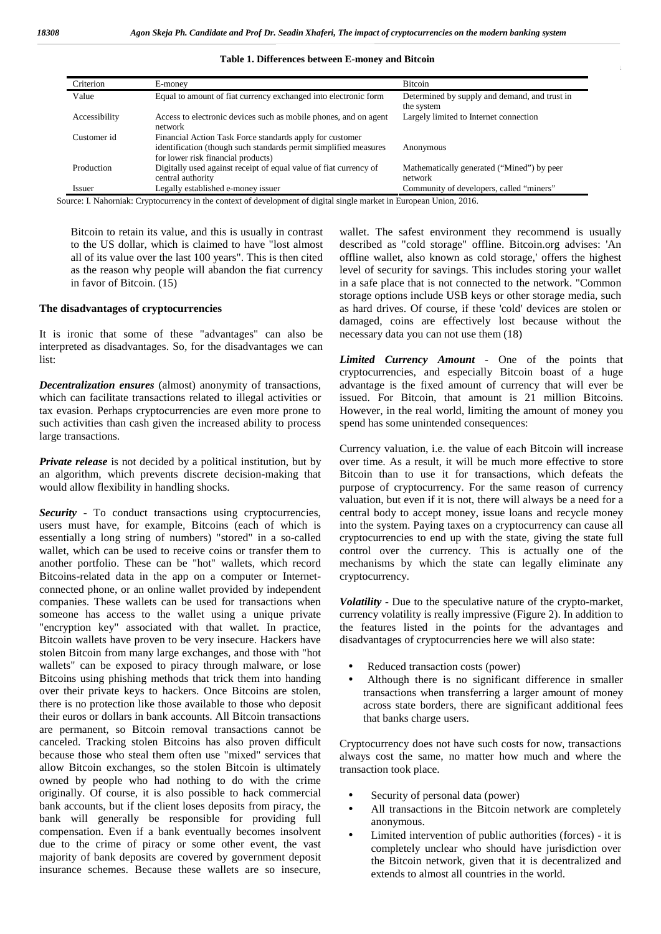| Criterion     | E-money                                                                                                               | <b>Bitcoin</b>                                              |
|---------------|-----------------------------------------------------------------------------------------------------------------------|-------------------------------------------------------------|
| Value         | Equal to amount of fiat currency exchanged into electronic form                                                       | Determined by supply and demand, and trust in<br>the system |
| Accessibility | Largely limited to Internet connection<br>Access to electronic devices such as mobile phones, and on agent<br>network |                                                             |
| Customer id   | Financial Action Task Force standards apply for customer                                                              |                                                             |
|               | identification (though such standards permit simplified measures<br>for lower risk financial products)                | Anonymous                                                   |
| Production    | Digitally used against receipt of equal value of fiat currency of<br>central authority                                | Mathematically generated ("Mined") by peer<br>network       |
| Issuer        | Legally established e-money issuer                                                                                    | Community of developers, called "miners"                    |

#### $B_{\text{B}}$  is not to keep to keep to keep to keep to keep to keep to keep to keep to keep to keep to keep to keep to keep to keep to keep to keep to keep to keep to keep to keep to keep to keep to keep to keep to keep to k **Table 1. Differences between E-money and Bitcoin**

Source: I. Nahorniak: Cryptocurrency in the context of development of digital single market in European Union, 2016.

Bitcoin to retain its value, and this is usually in contrast to the US dollar, which is claimed to have "lost almost all of its value over the last 100 years". This is then cited as the reason why people will abandon the fiat currency in favor of Bitcoin. (15)

#### **The disadvantages of cryptocurrencies**

It is ironic that some of these "advantages" can also be interpreted as disadvantages. So, for the disadvantages we can list:

*Decentralization ensures* (almost) anonymity of transactions, which can facilitate transactions related to illegal activities or tax evasion. Perhaps cryptocurrencies are even more prone to such activities than cash given the increased ability to process large transactions.

*Private release* is not decided by a political institution, but by an algorithm, which prevents discrete decision-making that would allow flexibility in handling shocks.

*Security* - To conduct transactions using cryptocurrencies, users must have, for example, Bitcoins (each of which is essentially a long string of numbers) "stored" in a so-called wallet, which can be used to receive coins or transfer them to another portfolio. These can be "hot" wallets, which record Bitcoins-related data in the app on a computer or Internet connected phone, or an online wallet provided by independent companies. These wallets can be used for transactions when someone has access to the wallet using a unique private "encryption key" associated with that wallet. In practice, Bitcoin wallets have proven to be very insecure. Hackers have stolen Bitcoin from many large exchanges, and those with "hot wallets" can be exposed to piracy through malware, or lose Bitcoins using phishing methods that trick them into handing over their private keys to hackers. Once Bitcoins are stolen, there is no protection like those available to those who deposit their euros or dollars in bank accounts. All Bitcoin transactions are permanent, so Bitcoin removal transactions cannot be canceled. Tracking stolen Bitcoins has also proven difficult because those who steal them often use "mixed" services that allow Bitcoin exchanges, so the stolen Bitcoin is ultimately owned by people who had nothing to do with the crime originally. Of course, it is also possible to hack commercial bank accounts, but if the client loses deposits from piracy, the bank will generally be responsible for providing full compensation. Even if a bank eventually becomes insolvent due to the crime of piracy or some other event, the vast majority of bank deposits are covered by government deposit insurance schemes. Because these wallets are so insecure,

wallet. The safest environment they recommend is usually described as "cold storage" offline. Bitcoin.org advises: 'An offline wallet, also known as cold storage,' offers the highest level of security for savings. This includes storing your wallet in a safe place that is not connected to the network. "Common storage options include USB keys or other storage media, such as hard drives. Of course, if these 'cold' devices are stolen or damaged, coins are effectively lost because without the necessary data you can not use them (18)

*Limited Currency Amount* - One of the points that cryptocurrencies, and especially Bitcoin boast of a huge advantage is the fixed amount of currency that will ever be issued. For Bitcoin, that amount is 21 million Bitcoins. However, in the real world, limiting the amount of money you spend has some unintended consequences:

Currency valuation, i.e. the value of each Bitcoin will increase over time. As a result, it will be much more effective to store Bitcoin than to use it for transactions, which defeats the purpose of cryptocurrency. For the same reason of currency valuation, but even if it is not, there will always be a need for a central body to accept money, issue loans and recycle money into the system. Paying taxes on a cryptocurrency can cause all cryptocurrencies to end up with the state, giving the state full control over the currency. This is actually one of the mechanisms by which the state can legally eliminate any cryptocurrency.

*Volatility* - Due to the speculative nature of the crypto-market, currency volatility is really impressive (Figure 2). In addition to the features listed in the points for the advantages and disadvantages of cryptocurrencies here we will also state:

- Reduced transaction costs (power)
- Although there is no significant difference in smaller transactions when transferring a larger amount of money across state borders, there are significant additional fees that banks charge users.

Cryptocurrency does not have such costs for now, transactions always cost the same, no matter how much and where the transaction took place.

- Security of personal data (power)
- All transactions in the Bitcoin network are completely anonymous.
- Limited intervention of public authorities (forces) it is completely unclear who should have jurisdiction over the Bitcoin network, given that it is decentralized and extends to almost all countries in the world.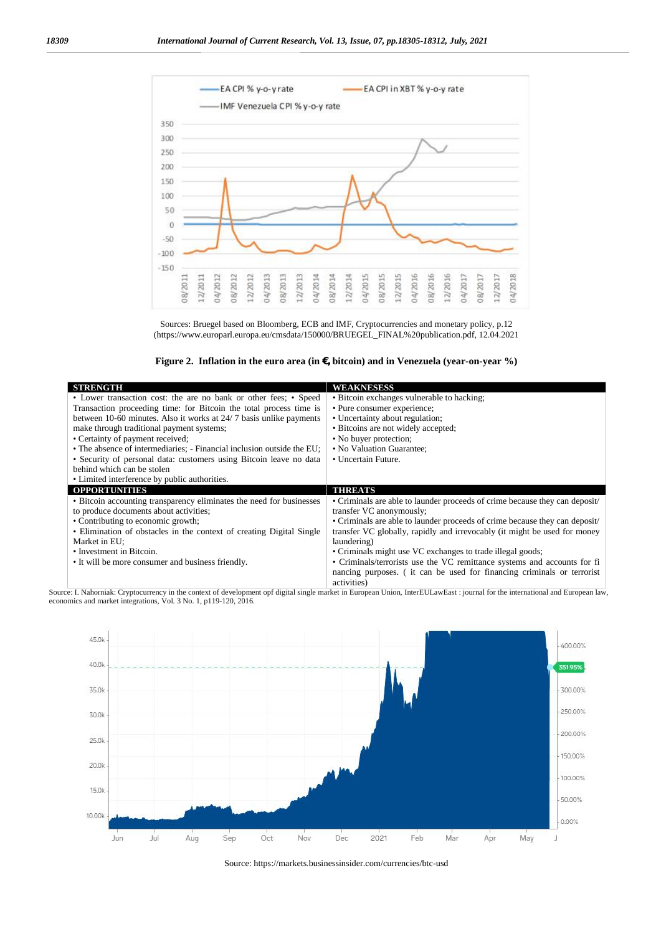

Sources: Bruegel based on Bloomberg, ECB and IMF, Cryptocurrencies and monetary policy, p.12 (https://www.europarl.europa.eu/cmsdata/150000/BRUEGEL\_FINAL%20publication.pdf, 12.04.2021

**Figure 2. Inflation in the euro area (in €, bitcoin) and in Venezuela (year-on-year %)**

| <b>STRENGTH</b>                                                        | <b>WEAKNESESS</b>                                                                     |
|------------------------------------------------------------------------|---------------------------------------------------------------------------------------|
| • Lower transaction cost: the are no bank or other fees; • Speed       | • Bitcoin exchanges vulnerable to hacking;                                            |
| Transaction proceeding time: for Bitcoin the total process time is     | • Pure consumer experience;                                                           |
| between 10-60 minutes. Also it works at 24/7 basis unlike payments     | • Uncertainty about regulation;                                                       |
| make through traditional payment systems;                              | • Bitcoins are not widely accepted;                                                   |
| • Certainty of payment received;                                       | • No buyer protection;                                                                |
| • The absence of intermediaries: - Financial inclusion outside the EU; | • No Valuation Guarantee;                                                             |
| • Security of personal data: customers using Bitcoin leave no data     | • Uncertain Future.                                                                   |
| behind which can be stolen                                             |                                                                                       |
| • Limited interference by public authorities.                          |                                                                                       |
| <b>OPPORTUNITIES</b>                                                   | <b>THREATS</b>                                                                        |
| • Bitcoin accounting transparency eliminates the need for businesses   | • Criminals are able to launder proceeds of crime because they can deposit            |
| to produce documents about activities;                                 | transfer VC anonymously;                                                              |
| • Contributing to economic growth;                                     | • Criminals are able to launder proceeds of crime because they can deposit            |
| • Elimination of obstacles in the context of creating Digital Single   | transfer VC globally, rapidly and irrevocably (it might be used for money             |
| Market in EU;                                                          | laundering)                                                                           |
| • Investment in Bitcoin.                                               | • Criminals might use VC exchanges to trade illegal goods;                            |
| • It will be more consumer and business friendly.                      | • Criminals/terrorists use the VC remittance systems and accounts for fi              |
|                                                                        | nancing purposes. (it can be used for financing criminals or terrorist<br>activities) |

Source: I. Nahorniak: Cryptocurrency in the context of development opf digital single market in European Union, InterEULawEast : journal for the international and European law, economics and market integrations, Vol. 3 No. 1, p119-120, 2016.



Source: https://markets.businessinsider.com/currencies/btc-usd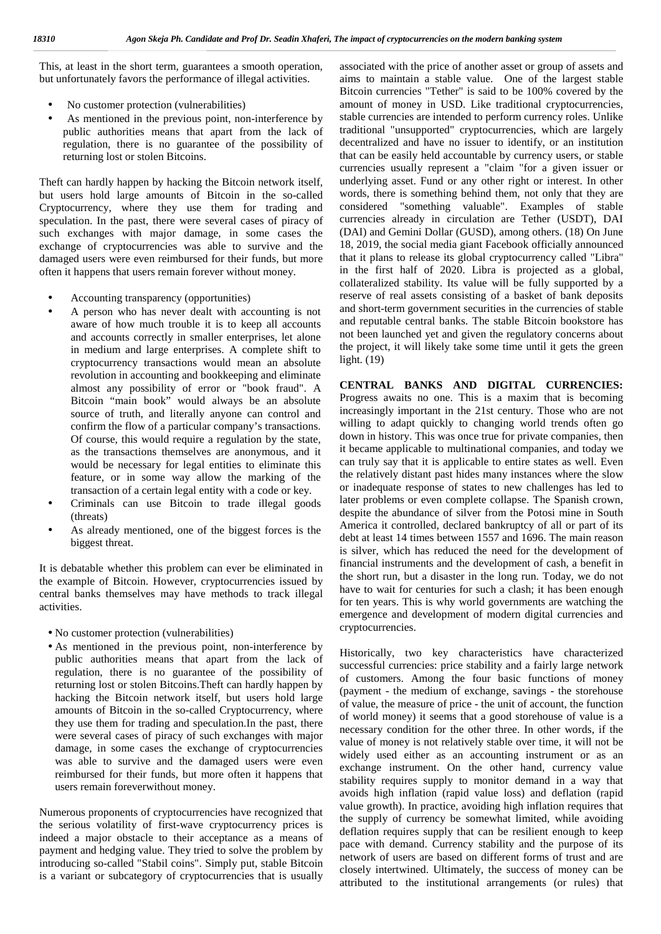This, at least in the short term, guarantees a smooth operation, a but unfortunately favors the performance of illegal activities.

- No customer protection (vulnerabilities)
- As mentioned in the previous point, non-interference by public authorities means that apart from the lack of regulation, there is no guarantee of the possibility of returning lost or stolen Bitcoins.

Theft can hardly happen by hacking the Bitcoin network itself, but users hold large amounts of Bitcoin in the so-called Cryptocurrency, where they use them for trading and speculation. In the past, there were several cases of piracy of such exchanges with major damage, in some cases the exchange of cryptocurrencies was able to survive and the damaged users were even reimbursed for their funds, but more often it happens that users remain forever without money.

- Accounting transparency (opportunities)
- A person who has never dealt with accounting is not aware of how much trouble it is to keep all accounts and accounts correctly in smaller enterprises, let alone in medium and large enterprises. A complete shift to cryptocurrency transactions would mean an absolute revolution in accounting and bookkeeping and eliminate almost any possibility of error or "book fraud". A Bitcoin "main book" would always be an absolute source of truth, and literally anyone can control and confirm the flow of a particular company's transactions. Of course, this would require a regulation by the state, as the transactions themselves are anonymous, and it would be necessary for legal entities to eliminate this feature, or in some way allow the marking of the transaction of a certain legal entity with a code or key.
- Criminals can use Bitcoin to trade illegal goods (threats)
- As already mentioned, one of the biggest forces is the biggest threat.

It is debatable whether this problem can ever be eliminated in the example of Bitcoin. However, cryptocurrencies issued by central banks themselves may have methods to track illegal activities.

No customer protection (vulnerabilities)

 As mentioned in the previous point, non-interference by public authorities means that apart from the lack of regulation, there is no guarantee of the possibility of returning lost or stolen Bitcoins.Theft can hardly happen by hacking the Bitcoin network itself, but users hold large amounts of Bitcoin in the so-called Cryptocurrency, where they use them for trading and speculation.In the past, there were several cases of piracy of such exchanges with major damage, in some cases the exchange of cryptocurrencies was able to survive and the damaged users were even reimbursed for their funds, but more often it happens that users remain foreverwithout money.

Numerous proponents of cryptocurrencies have recognized that the serious volatility of first-wave cryptocurrency prices is indeed a major obstacle to their acceptance as a means of payment and hedging value. They tried to solve the problem by introducing so-called "Stabil coins". Simply put, stable Bitcoin is a variant or subcategory of cryptocurrencies that is usually

associated with the price of another asset or group of assets and aims to maintain a stable value. One of the largest stable Bitcoin currencies "Tether" is said to be 100% covered by the amount of money in USD. Like traditional cryptocurrencies, stable currencies are intended to perform currency roles. Unlike traditional "unsupported" cryptocurrencies, which are largely decentralized and have no issuer to identify, or an institution that can be easily held accountable by currency users, or stable currencies usually represent a "claim "for a given issuer or underlying asset. Fund or any other right or interest. In other words, there is something behind them, not only that they are considered "something valuable". Examples of stable currencies already in circulation are Tether (USDT), DAI (DAI) and Gemini Dollar (GUSD), among others. (18) On June 18, 2019, the social media giant Facebook officially announced that it plans to release its global cryptocurrency called "Libra" in the first half of 2020. Libra is projected as a global, collateralized stability. Its value will be fully supported by a reserve of real assets consisting of a basket of bank deposits and short-term government securities in the currencies of stable and reputable central banks. The stable Bitcoin bookstore has not been launched yet and given the regulatory concerns about the project, it will likely take some time until it gets the green light. (19)

**CENTRAL BANKS AND DIGITAL CURRENCIES:** Progress awaits no one. This is a maxim that is becoming increasingly important in the 21st century. Those who are not willing to adapt quickly to changing world trends often go down in history. This was once true for private companies, then it became applicable to multinational companies, and today we can truly say that it is applicable to entire states as well. Even the relatively distant past hides many instances where the slow or inadequate response of states to new challenges has led to later problems or even complete collapse. The Spanish crown, despite the abundance of silver from the Potosi mine in South America it controlled, declared bankruptcy of all or part of its debt at least 14 times between 1557 and 1696. The main reason is silver, which has reduced the need for the development of financial instruments and the development of cash, a benefit in the short run, but a disaster in the long run. Today, we do not have to wait for centuries for such a clash; it has been enough for ten years. This is why world governments are watching the emergence and development of modern digital currencies and cryptocurrencies.

Historically, two key characteristics have characterized successful currencies: price stability and a fairly large network of customers. Among the four basic functions of money (payment - the medium of exchange, savings - the storehouse of value, the measure of price - the unit of account, the function of world money) it seems that a good storehouse of value is a necessary condition for the other three. In other words, if the value of money is not relatively stable over time, it will not be widely used either as an accounting instrument or as an exchange instrument. On the other hand, currency value stability requires supply to monitor demand in a way that avoids high inflation (rapid value loss) and deflation (rapid value growth). In practice, avoiding high inflation requires that the supply of currency be somewhat limited, while avoiding deflation requires supply that can be resilient enough to keep pace with demand. Currency stability and the purpose of its network of users are based on different forms of trust and are closely intertwined. Ultimately, the success of money can be attributed to the institutional arrangements (or rules) that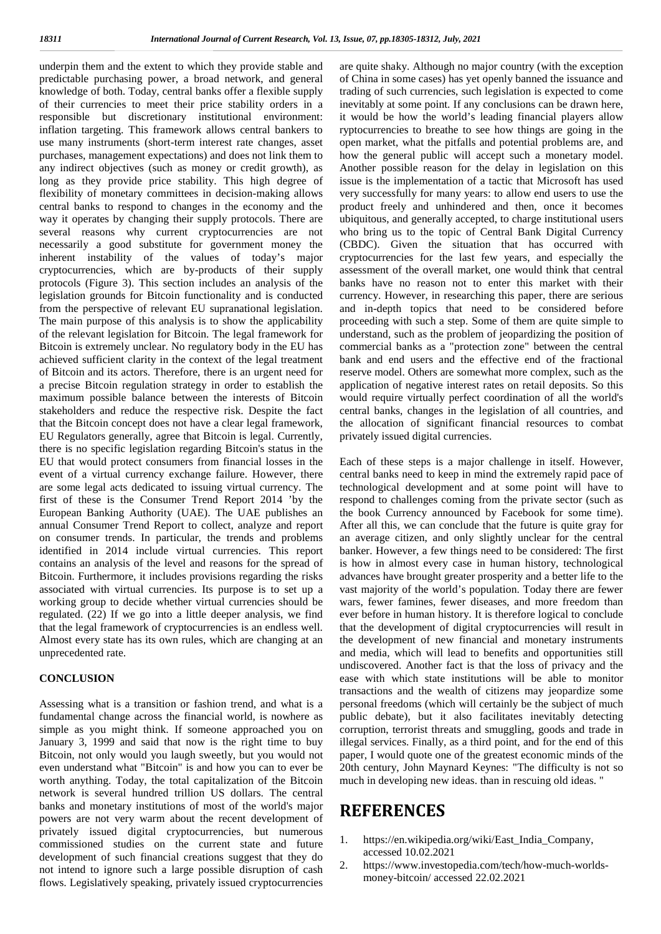underpin them and the extent to which they provide stable and are quality predictable purchasing power, a broad network, and general knowledge of both. Today, central banks offer a flexible supply of their currencies to meet their price stability orders in a responsible but discretionary institutional environment: inflation targeting. This framework allows central bankers to use many instruments (short-term interest rate changes, asset purchases, management expectations) and does not link them to any indirect objectives (such as money or credit growth), as long as they provide price stability. This high degree of flexibility of monetary committees in decision-making allows central banks to respond to changes in the economy and the way it operates by changing their supply protocols. There are several reasons why current cryptocurrencies are not necessarily a good substitute for government money the inherent instability of the values of today's major cryptocurrencies, which are by-products of their supply protocols (Figure 3). This section includes an analysis of the legislation grounds for Bitcoin functionality and is conducted from the perspective of relevant EU supranational legislation. The main purpose of this analysis is to show the applicability of the relevant legislation for Bitcoin. The legal framework for Bitcoin is extremely unclear. No regulatory body in the EU has achieved sufficient clarity in the context of the legal treatment of Bitcoin and its actors. Therefore, there is an urgent need for a precise Bitcoin regulation strategy in order to establish the maximum possible balance between the interests of Bitcoin stakeholders and reduce the respective risk. Despite the fact that the Bitcoin concept does not have a clear legal framework, EU Regulators generally, agree that Bitcoin is legal. Currently, there is no specific legislation regarding Bitcoin's status in the EU that would protect consumers from financial losses in the event of a virtual currency exchange failure. However, there are some legal acts dedicated to issuing virtual currency. The first of these is the Consumer Trend Report 2014 'by the European Banking Authority (UAE). The UAE publishes an annual Consumer Trend Report to collect, analyze and report on consumer trends. In particular, the trends and problems identified in 2014 include virtual currencies. This report contains an analysis of the level and reasons for the spread of Bitcoin. Furthermore, it includes provisions regarding the risks associated with virtual currencies. Its purpose is to set up a working group to decide whether virtual currencies should be regulated. (22) If we go into a little deeper analysis, we find that the legal framework of cryptocurrencies is an endless well. Almost every state has its own rules, which are changing at an unprecedented rate.

### **CONCLUSION**

Assessing what is a transition or fashion trend, and what is a fundamental change across the financial world, is nowhere as simple as you might think. If someone approached you on January 3, 1999 and said that now is the right time to buy Bitcoin, not only would you laugh sweetly, but you would not even understand what "Bitcoin" is and how you can to ever be worth anything. Today, the total capitalization of the Bitcoin network is several hundred trillion US dollars. The central banks and monetary institutions of most of the world's major powers are not very warm about the recent development of privately issued digital cryptocurrencies, but numerous commissioned studies on the current state and future development of such financial creations suggest that they do<br>not intend to innoce such a long good la diametica of sock not intend to ignore such a large possible disruption of cash flows. Legislatively speaking, privately issued cryptocurrencies

are quite shaky. Although no major country (with the exception of China in some cases) has yet openly banned the issuance and trading of such currencies, such legislation is expected to come inevitably at some point. If any conclusions can be drawn here, it would be how the world's leading financial players allow ryptocurrencies to breathe to see how things are going in the open market, what the pitfalls and potential problems are, and how the general public will accept such a monetary model. Another possible reason for the delay in legislation on this issue is the implementation of a tactic that Microsoft has used very successfully for many years: to allow end users to use the product freely and unhindered and then, once it becomes ubiquitous, and generally accepted, to charge institutional users who bring us to the topic of Central Bank Digital Currency (CBDC). Given the situation that has occurred with cryptocurrencies for the last few years, and especially the assessment of the overall market, one would think that central banks have no reason not to enter this market with their currency. However, in researching this paper, there are serious and in-depth topics that need to be considered before proceeding with such a step. Some of them are quite simple to understand, such as the problem of jeopardizing the position of commercial banks as a "protection zone" between the central bank and end users and the effective end of the fractional reserve model. Others are somewhat more complex, such as the application of negative interest rates on retail deposits. So this would require virtually perfect coordination of all the world's central banks, changes in the legislation of all countries, and the allocation of significant financial resources to combat privately issued digital currencies.

Each of these steps is a major challenge in itself. However, central banks need to keep in mind the extremely rapid pace of technological development and at some point will have to respond to challenges coming from the private sector (such as the book Currency announced by Facebook for some time). After all this, we can conclude that the future is quite gray for an average citizen, and only slightly unclear for the central banker. However, a few things need to be considered: The first is how in almost every case in human history, technological advances have brought greater prosperity and a better life to the vast majority of the world's population. Today there are fewer wars, fewer famines, fewer diseases, and more freedom than ever before in human history. It is therefore logical to conclude that the development of digital cryptocurrencies will result in the development of new financial and monetary instruments and media, which will lead to benefits and opportunities still undiscovered. Another fact is that the loss of privacy and the ease with which state institutions will be able to monitor transactions and the wealth of citizens may jeopardize some personal freedoms (which will certainly be the subject of much public debate), but it also facilitates inevitably detecting corruption, terrorist threats and smuggling, goods and trade in illegal services. Finally, as a third point, and for the end of this paper, I would quote one of the greatest economic minds of the 20th century, John Maynard Keynes: "The difficulty is not so much in developing new ideas. than in rescuing old ideas. "

# **REFERENCES**

- https://en.wikipedia.org/wiki/East\_India\_Company, accessed 10.02.2021
- 2. https://www.investopedia.com/tech/how-much-worlds money-bitcoin/ accessed 22.02.2021